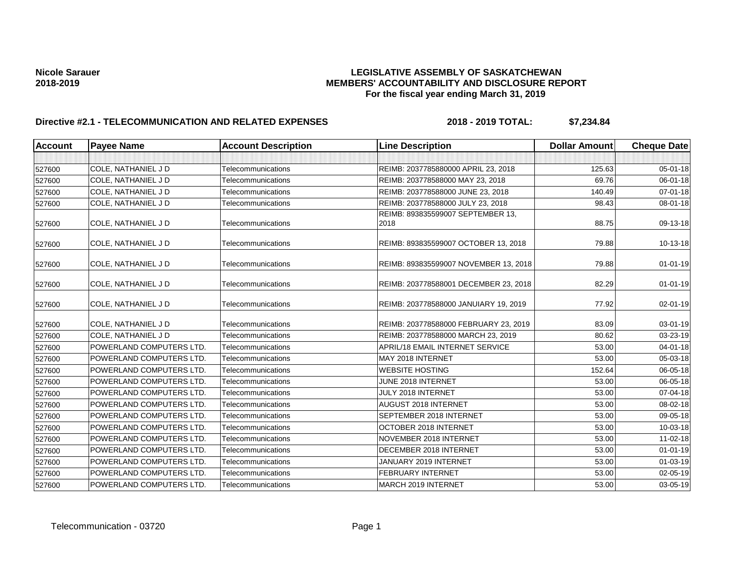| <b>Account</b> | <b>Payee Name</b>               | <b>Account Description</b> | <b>Line Description</b>               | <b>Dollar Amount</b> | <b>Cheque Date</b> |
|----------------|---------------------------------|----------------------------|---------------------------------------|----------------------|--------------------|
|                |                                 |                            |                                       |                      |                    |
| 527600         | COLE, NATHANIEL J D             | Telecommunications         | REIMB: 2037785880000 APRIL 23, 2018   | 125.63               | 05-01-18           |
| 527600         | COLE, NATHANIEL J D             | Telecommunications         | REIMB: 203778588000 MAY 23, 2018      | 69.76                | 06-01-18           |
| 527600         | COLE, NATHANIEL J D             | Telecommunications         | REIMB: 203778588000 JUNE 23, 2018     | 140.49               | 07-01-18           |
| 527600         | COLE, NATHANIEL J D             | Telecommunications         | REIMB: 203778588000 JULY 23, 2018     | 98.43                | 08-01-18           |
|                |                                 |                            | REIMB: 893835599007 SEPTEMBER 13,     |                      |                    |
| 527600         | COLE, NATHANIEL J D             | Telecommunications         | 2018                                  | 88.75                | 09-13-18           |
| 527600         | COLE, NATHANIEL J D             | Telecommunications         | REIMB: 893835599007 OCTOBER 13, 2018  | 79.88                | 10-13-18           |
| 527600         | COLE, NATHANIEL J D             | Telecommunications         | REIMB: 893835599007 NOVEMBER 13, 2018 | 79.88                | $01 - 01 - 19$     |
| 527600         | COLE, NATHANIEL J D             | Telecommunications         | REIMB: 203778588001 DECEMBER 23, 2018 | 82.29                | $01-01-19$         |
| 527600         | COLE, NATHANIEL J D             | Telecommunications         | REIMB: 203778588000 JANUIARY 19, 2019 | 77.92                | 02-01-19           |
| 527600         | COLE, NATHANIEL J D             | Telecommunications         | REIMB: 203778588000 FEBRUARY 23, 2019 | 83.09                | $03 - 01 - 19$     |
| 527600         | COLE. NATHANIEL J D             | Telecommunications         | REIMB: 203778588000 MARCH 23, 2019    | 80.62                | 03-23-19           |
| 527600         | POWERLAND COMPUTERS LTD.        | Telecommunications         | APRIL/18 EMAIL INTERNET SERVICE       | 53.00                | 04-01-18           |
| 527600         | POWERLAND COMPUTERS LTD.        | Telecommunications         | MAY 2018 INTERNET                     | 53.00                | 05-03-18           |
| 527600         | POWERLAND COMPUTERS LTD.        | Telecommunications         | <b>WEBSITE HOSTING</b>                | 152.64               | 06-05-18           |
| 527600         | POWERLAND COMPUTERS LTD.        | Telecommunications         | JUNE 2018 INTERNET                    | 53.00                | 06-05-18           |
| 527600         | POWERLAND COMPUTERS LTD.        | Telecommunications         | JULY 2018 INTERNET                    | 53.00                | 07-04-18           |
| 527600         | POWERLAND COMPUTERS LTD.        | Telecommunications         | AUGUST 2018 INTERNET                  | 53.00                | 08-02-18           |
| 527600         | <b>POWERLAND COMPUTERS LTD.</b> | Telecommunications         | SEPTEMBER 2018 INTERNET               | 53.00                | 09-05-18           |
| 527600         | POWERLAND COMPUTERS LTD.        | Telecommunications         | OCTOBER 2018 INTERNET                 | 53.00                | 10-03-18           |
| 527600         | POWERLAND COMPUTERS LTD.        | Telecommunications         | NOVEMBER 2018 INTERNET                | 53.00                | 11-02-18           |
| 527600         | POWERLAND COMPUTERS LTD.        | Telecommunications         | DECEMBER 2018 INTERNET                | 53.00                | $01 - 01 - 19$     |
| 527600         | POWERLAND COMPUTERS LTD.        | Telecommunications         | JANUARY 2019 INTERNET                 | 53.00                | $01 - 03 - 19$     |
| 527600         | POWERLAND COMPUTERS LTD.        | Telecommunications         | <b>FEBRUARY INTERNET</b>              | 53.00                | 02-05-19           |
| 527600         | POWERLAND COMPUTERS LTD.        | Telecommunications         | MARCH 2019 INTERNET                   | 53.00                | 03-05-19           |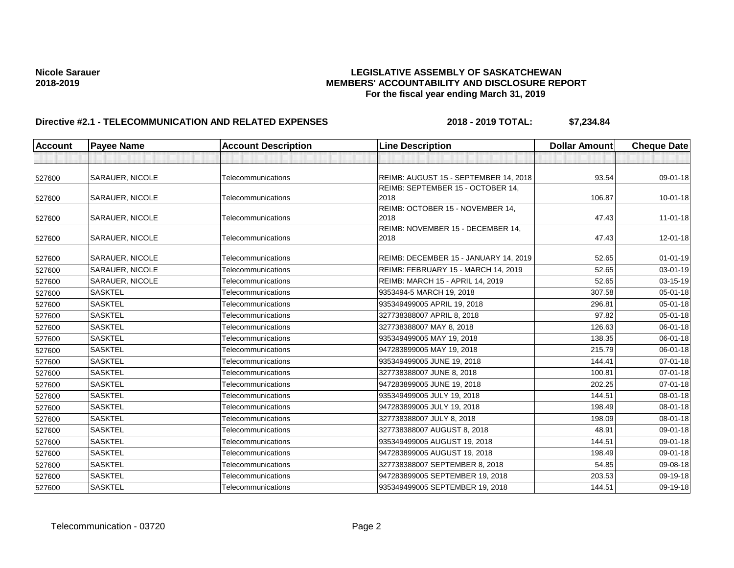| <b>Account</b> | <b>Payee Name</b>      | <b>Account Description</b> | <b>Line Description</b>               | <b>Dollar Amount</b> | <b>Cheque Date</b> |
|----------------|------------------------|----------------------------|---------------------------------------|----------------------|--------------------|
|                |                        |                            |                                       |                      |                    |
| 527600         | <b>SARAUER, NICOLE</b> | Telecommunications         | REIMB: AUGUST 15 - SEPTEMBER 14, 2018 | 93.54                | 09-01-18           |
|                |                        |                            | REIMB: SEPTEMBER 15 - OCTOBER 14,     |                      |                    |
| 527600         | <b>SARAUER, NICOLE</b> | Telecommunications         | 2018                                  | 106.87               | $10 - 01 - 18$     |
|                |                        |                            | REIMB: OCTOBER 15 - NOVEMBER 14,      |                      |                    |
| 527600         | <b>SARAUER, NICOLE</b> | Telecommunications         | 2018                                  | 47.43                | $11-01-18$         |
|                |                        |                            | REIMB: NOVEMBER 15 - DECEMBER 14,     |                      |                    |
| 527600         | <b>SARAUER, NICOLE</b> | Telecommunications         | 2018                                  | 47.43                | 12-01-18           |
| 527600         | <b>SARAUER, NICOLE</b> | Telecommunications         | REIMB: DECEMBER 15 - JANUARY 14, 2019 | 52.65                | $01 - 01 - 19$     |
| 527600         | SARAUER, NICOLE        | Telecommunications         | REIMB: FEBRUARY 15 - MARCH 14, 2019   | 52.65                | 03-01-19           |
| 527600         | <b>SARAUER, NICOLE</b> | Telecommunications         | REIMB: MARCH 15 - APRIL 14, 2019      | 52.65                | 03-15-19           |
| 527600         | <b>SASKTEL</b>         | Telecommunications         | 9353494-5 MARCH 19, 2018              | 307.58               | 05-01-18           |
| 527600         | <b>SASKTEL</b>         | Telecommunications         | 935349499005 APRIL 19, 2018           | 296.81               | $05 - 01 - 18$     |
| 527600         | <b>SASKTEL</b>         | Telecommunications         | 327738388007 APRIL 8, 2018            | 97.82                | 05-01-18           |
| 527600         | <b>SASKTEL</b>         | Telecommunications         | 327738388007 MAY 8, 2018              | 126.63               | 06-01-18           |
| 527600         | <b>SASKTEL</b>         | Telecommunications         | 935349499005 MAY 19, 2018             | 138.35               | 06-01-18           |
| 527600         | <b>SASKTEL</b>         | Telecommunications         | 947283899005 MAY 19, 2018             | 215.79               | 06-01-18           |
| 527600         | <b>SASKTEL</b>         | Telecommunications         | 935349499005 JUNE 19, 2018            | 144.41               | 07-01-18           |
| 527600         | <b>SASKTEL</b>         | Telecommunications         | 327738388007 JUNE 8, 2018             | 100.81               | $07 - 01 - 18$     |
| 527600         | <b>SASKTEL</b>         | Telecommunications         | 947283899005 JUNE 19, 2018            | 202.25               | $07 - 01 - 18$     |
| 527600         | <b>SASKTEL</b>         | Telecommunications         | 935349499005 JULY 19, 2018            | 144.51               | 08-01-18           |
| 527600         | <b>SASKTEL</b>         | Telecommunications         | 947283899005 JULY 19, 2018            | 198.49               | 08-01-18           |
| 527600         | <b>SASKTEL</b>         | Telecommunications         | 327738388007 JULY 8, 2018             | 198.09               | 08-01-18           |
| 527600         | <b>SASKTEL</b>         | Telecommunications         | 327738388007 AUGUST 8, 2018           | 48.91                | 09-01-18           |
| 527600         | <b>SASKTEL</b>         | Telecommunications         | 935349499005 AUGUST 19, 2018          | 144.51               | 09-01-18           |
| 527600         | <b>SASKTEL</b>         | Telecommunications         | 947283899005 AUGUST 19, 2018          | 198.49               | 09-01-18           |
| 527600         | <b>SASKTEL</b>         | Telecommunications         | 327738388007 SEPTEMBER 8, 2018        | 54.85                | 09-08-18           |
| 527600         | <b>SASKTEL</b>         | Telecommunications         | 947283899005 SEPTEMBER 19, 2018       | 203.53               | 09-19-18           |
| 527600         | <b>SASKTEL</b>         | Telecommunications         | 935349499005 SEPTEMBER 19, 2018       | 144.51               | 09-19-18           |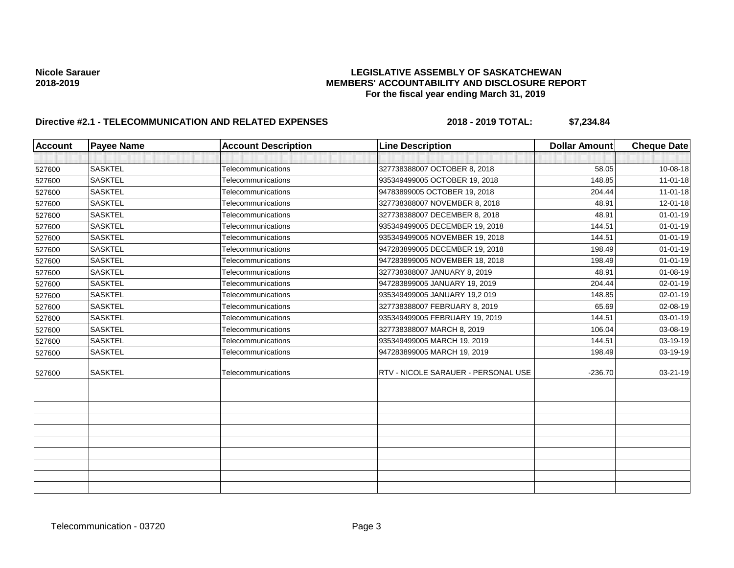| <b>Account</b> | <b>Payee Name</b> | <b>Account Description</b> | <b>Line Description</b>             | <b>Dollar Amount</b> | <b>Cheque Date</b> |
|----------------|-------------------|----------------------------|-------------------------------------|----------------------|--------------------|
|                |                   |                            |                                     |                      |                    |
| 527600         | <b>SASKTEL</b>    | Telecommunications         | 327738388007 OCTOBER 8, 2018        | 58.05                | 10-08-18           |
| 527600         | <b>SASKTEL</b>    | Telecommunications         | 935349499005 OCTOBER 19, 2018       | 148.85               | $11 - 01 - 18$     |
| 527600         | <b>SASKTEL</b>    | Telecommunications         | 94783899005 OCTOBER 19, 2018        | 204.44               | $11 - 01 - 18$     |
| 527600         | <b>SASKTEL</b>    | Telecommunications         | 327738388007 NOVEMBER 8, 2018       | 48.91                | $12 - 01 - 18$     |
| 527600         | <b>SASKTEL</b>    | Telecommunications         | 327738388007 DECEMBER 8, 2018       | 48.91                | $01 - 01 - 19$     |
| 527600         | <b>SASKTEL</b>    | Telecommunications         | 935349499005 DECEMBER 19, 2018      | 144.51               | $01 - 01 - 19$     |
| 527600         | <b>SASKTEL</b>    | Telecommunications         | 935349499005 NOVEMBER 19, 2018      | 144.51               | $01 - 01 - 19$     |
| 527600         | <b>SASKTEL</b>    | Telecommunications         | 947283899005 DECEMBER 19, 2018      | 198.49               | $01 - 01 - 19$     |
| 527600         | <b>SASKTEL</b>    | Telecommunications         | 947283899005 NOVEMBER 18, 2018      | 198.49               | $01 - 01 - 19$     |
| 527600         | <b>SASKTEL</b>    | Telecommunications         | 327738388007 JANUARY 8, 2019        | 48.91                | $01 - 08 - 19$     |
| 527600         | <b>SASKTEL</b>    | Telecommunications         | 947283899005 JANUARY 19, 2019       | 204.44               | $02 - 01 - 19$     |
| 527600         | <b>SASKTEL</b>    | Telecommunications         | 935349499005 JANUARY 19,2 019       | 148.85               | $02 - 01 - 19$     |
| 527600         | <b>SASKTEL</b>    | Telecommunications         | 327738388007 FEBRUARY 8, 2019       | 65.69                | 02-08-19           |
| 527600         | <b>SASKTEL</b>    | Telecommunications         | 935349499005 FEBRUARY 19, 2019      | 144.51               | 03-01-19           |
| 527600         | <b>SASKTEL</b>    | Telecommunications         | 327738388007 MARCH 8, 2019          | 106.04               | 03-08-19           |
| 527600         | <b>SASKTEL</b>    | Telecommunications         | 935349499005 MARCH 19, 2019         | 144.51               | 03-19-19           |
| 527600         | <b>SASKTEL</b>    | Telecommunications         | 947283899005 MARCH 19, 2019         | 198.49               | 03-19-19           |
| 527600         | <b>SASKTEL</b>    | Telecommunications         | RTV - NICOLE SARAUER - PERSONAL USE | $-236.70$            | $03 - 21 - 19$     |
|                |                   |                            |                                     |                      |                    |
|                |                   |                            |                                     |                      |                    |
|                |                   |                            |                                     |                      |                    |
|                |                   |                            |                                     |                      |                    |
|                |                   |                            |                                     |                      |                    |
|                |                   |                            |                                     |                      |                    |
|                |                   |                            |                                     |                      |                    |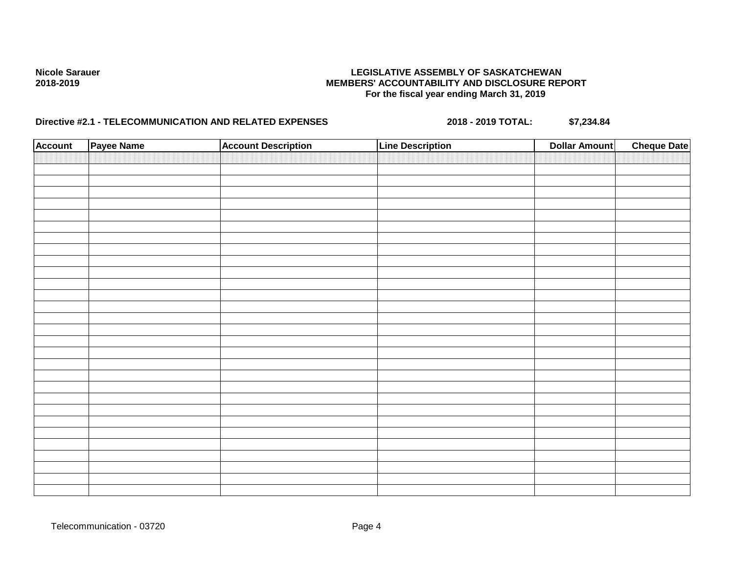| <b>Account</b> | Payee Name | <b>Account Description</b> | <b>Line Description</b> | <b>Dollar Amount</b> | <b>Cheque Date</b> |
|----------------|------------|----------------------------|-------------------------|----------------------|--------------------|
|                |            |                            |                         |                      |                    |
|                |            |                            |                         |                      |                    |
|                |            |                            |                         |                      |                    |
|                |            |                            |                         |                      |                    |
|                |            |                            |                         |                      |                    |
|                |            |                            |                         |                      |                    |
|                |            |                            |                         |                      |                    |
|                |            |                            |                         |                      |                    |
|                |            |                            |                         |                      |                    |
|                |            |                            |                         |                      |                    |
|                |            |                            |                         |                      |                    |
|                |            |                            |                         |                      |                    |
|                |            |                            |                         |                      |                    |
|                |            |                            |                         |                      |                    |
|                |            |                            |                         |                      |                    |
|                |            |                            |                         |                      |                    |
|                |            |                            |                         |                      |                    |
|                |            |                            |                         |                      |                    |
|                |            |                            |                         |                      |                    |
|                |            |                            |                         |                      |                    |
|                |            |                            |                         |                      |                    |
|                |            |                            |                         |                      |                    |
|                |            |                            |                         |                      |                    |
|                |            |                            |                         |                      |                    |
|                |            |                            |                         |                      |                    |
|                |            |                            |                         |                      |                    |
|                |            |                            |                         |                      |                    |
|                |            |                            |                         |                      |                    |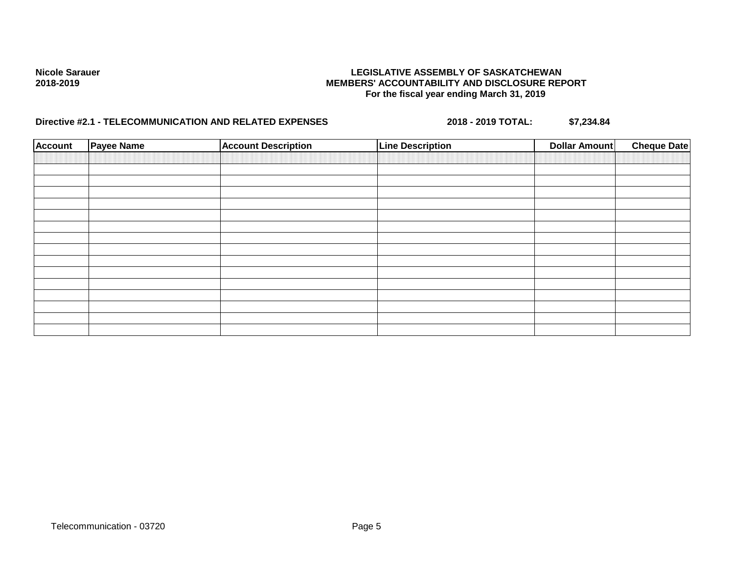| <b>Account</b> | <b>Payee Name</b> | <b>Account Description</b> | <b>Line Description</b> | <b>Dollar Amount</b> | <b>Cheque Date</b> |
|----------------|-------------------|----------------------------|-------------------------|----------------------|--------------------|
|                |                   |                            |                         |                      |                    |
|                |                   |                            |                         |                      |                    |
|                |                   |                            |                         |                      |                    |
|                |                   |                            |                         |                      |                    |
|                |                   |                            |                         |                      |                    |
|                |                   |                            |                         |                      |                    |
|                |                   |                            |                         |                      |                    |
|                |                   |                            |                         |                      |                    |
|                |                   |                            |                         |                      |                    |
|                |                   |                            |                         |                      |                    |
|                |                   |                            |                         |                      |                    |
|                |                   |                            |                         |                      |                    |
|                |                   |                            |                         |                      |                    |
|                |                   |                            |                         |                      |                    |
|                |                   |                            |                         |                      |                    |
|                |                   |                            |                         |                      |                    |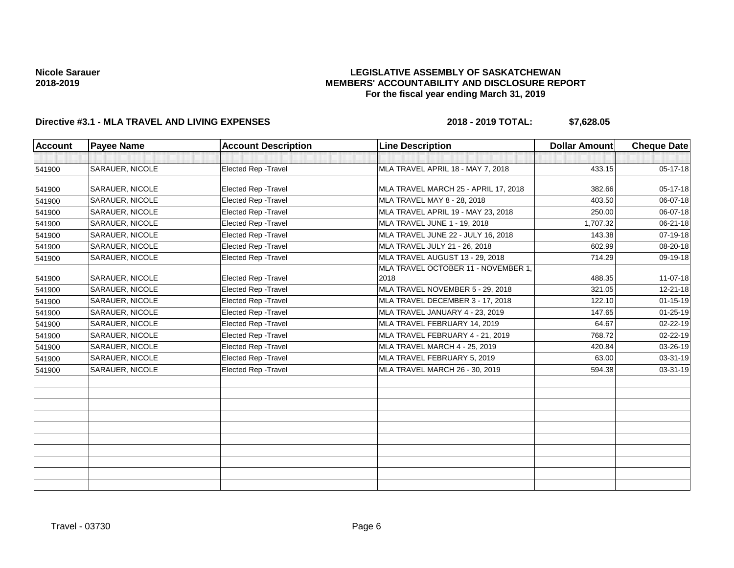## **LEGISLATIVE ASSEMBLY OF SASKATCHEWAN MEMBERS' ACCOUNTABILITY AND DISCLOSURE REPORT For the fiscal year ending March 31, 2019**

# **Directive #3.1 - MLA TRAVEL AND LIVING EXPENSES 2018 - 2019 TOTAL: \$7,628.05**

| <b>Account</b> | <b>Payee Name</b>      | <b>Account Description</b>  | <b>Line Description</b>              | <b>Dollar Amount</b> | <b>Cheque Date</b> |
|----------------|------------------------|-----------------------------|--------------------------------------|----------------------|--------------------|
|                |                        |                             |                                      |                      |                    |
| 541900         | <b>SARAUER, NICOLE</b> | Elected Rep - Travel        | MLA TRAVEL APRIL 18 - MAY 7, 2018    | 433.15               | 05-17-18           |
| 541900         | SARAUER, NICOLE        | Elected Rep - Travel        | MLA TRAVEL MARCH 25 - APRIL 17, 2018 | 382.66               | $05-17-18$         |
| 541900         | SARAUER, NICOLE        | Elected Rep - Travel        | MLA TRAVEL MAY 8 - 28, 2018          | 403.50               | 06-07-18           |
| 541900         | SARAUER, NICOLE        | Elected Rep - Travel        | MLA TRAVEL APRIL 19 - MAY 23, 2018   | 250.00               | 06-07-18           |
| 541900         | <b>SARAUER, NICOLE</b> | Elected Rep - Travel        | MLA TRAVEL JUNE 1 - 19, 2018         | 1,707.32             | 06-21-18           |
| 541900         | <b>SARAUER, NICOLE</b> | <b>Elected Rep - Travel</b> | MLA TRAVEL JUNE 22 - JULY 16, 2018   | 143.38               | 07-19-18           |
| 541900         | SARAUER, NICOLE        | <b>Elected Rep - Travel</b> | MLA TRAVEL JULY 21 - 26, 2018        | 602.99               | 08-20-18           |
| 541900         | SARAUER, NICOLE        | Elected Rep - Travel        | MLA TRAVEL AUGUST 13 - 29, 2018      | 714.29               | 09-19-18           |
|                |                        |                             | MLA TRAVEL OCTOBER 11 - NOVEMBER 1,  |                      |                    |
| 541900         | <b>SARAUER, NICOLE</b> | <b>Elected Rep - Travel</b> | 2018                                 | 488.35               | $11-07-18$         |
| 541900         | SARAUER, NICOLE        | Elected Rep - Travel        | MLA TRAVEL NOVEMBER 5 - 29, 2018     | 321.05               | 12-21-18           |
| 541900         | <b>SARAUER, NICOLE</b> | Elected Rep - Travel        | MLA TRAVEL DECEMBER 3 - 17, 2018     | 122.10               | $01 - 15 - 19$     |
| 541900         | SARAUER, NICOLE        | Elected Rep - Travel        | MLA TRAVEL JANUARY 4 - 23, 2019      | 147.65               | $01 - 25 - 19$     |
| 541900         | SARAUER, NICOLE        | Elected Rep - Travel        | MLA TRAVEL FEBRUARY 14, 2019         | 64.67                | 02-22-19           |
| 541900         | SARAUER, NICOLE        | Elected Rep - Travel        | MLA TRAVEL FEBRUARY 4 - 21, 2019     | 768.72               | 02-22-19           |
| 541900         | SARAUER, NICOLE        | Elected Rep - Travel        | MLA TRAVEL MARCH 4 - 25, 2019        | 420.84               | 03-26-19           |
| 541900         | <b>SARAUER, NICOLE</b> | <b>Elected Rep - Travel</b> | MLA TRAVEL FEBRUARY 5, 2019          | 63.00                | 03-31-19           |
| 541900         | SARAUER, NICOLE        | Elected Rep - Travel        | MLA TRAVEL MARCH 26 - 30, 2019       | 594.38               | 03-31-19           |
|                |                        |                             |                                      |                      |                    |
|                |                        |                             |                                      |                      |                    |
|                |                        |                             |                                      |                      |                    |
|                |                        |                             |                                      |                      |                    |
|                |                        |                             |                                      |                      |                    |
|                |                        |                             |                                      |                      |                    |
|                |                        |                             |                                      |                      |                    |
|                |                        |                             |                                      |                      |                    |
|                |                        |                             |                                      |                      |                    |
|                |                        |                             |                                      |                      |                    |

Travel - 03730 Page 6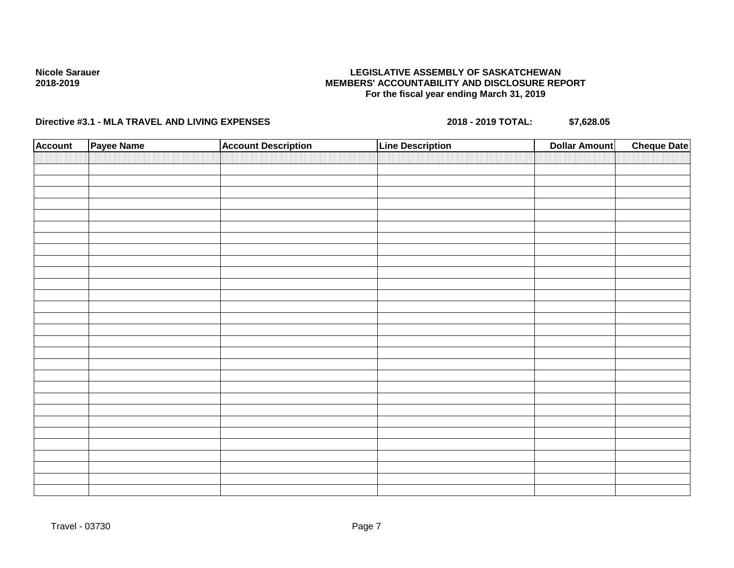## **LEGISLATIVE ASSEMBLY OF SASKATCHEWAN MEMBERS' ACCOUNTABILITY AND DISCLOSURE REPORT For the fiscal year ending March 31, 2019**

| <b>Account</b> | Payee Name | <b>Account Description</b> | <b>Line Description</b> | <b>Dollar Amount</b> | <b>Cheque Date</b> |
|----------------|------------|----------------------------|-------------------------|----------------------|--------------------|
|                |            |                            |                         |                      |                    |
|                |            |                            |                         |                      |                    |
|                |            |                            |                         |                      |                    |
|                |            |                            |                         |                      |                    |
|                |            |                            |                         |                      |                    |
|                |            |                            |                         |                      |                    |
|                |            |                            |                         |                      |                    |
|                |            |                            |                         |                      |                    |
|                |            |                            |                         |                      |                    |
|                |            |                            |                         |                      |                    |
|                |            |                            |                         |                      |                    |
|                |            |                            |                         |                      |                    |
|                |            |                            |                         |                      |                    |
|                |            |                            |                         |                      |                    |
|                |            |                            |                         |                      |                    |
|                |            |                            |                         |                      |                    |
|                |            |                            |                         |                      |                    |
|                |            |                            |                         |                      |                    |
|                |            |                            |                         |                      |                    |
|                |            |                            |                         |                      |                    |
|                |            |                            |                         |                      |                    |
|                |            |                            |                         |                      |                    |
|                |            |                            |                         |                      |                    |
|                |            |                            |                         |                      |                    |
|                |            |                            |                         |                      |                    |
|                |            |                            |                         |                      |                    |
|                |            |                            |                         |                      |                    |
|                |            |                            |                         |                      |                    |
|                |            |                            |                         |                      |                    |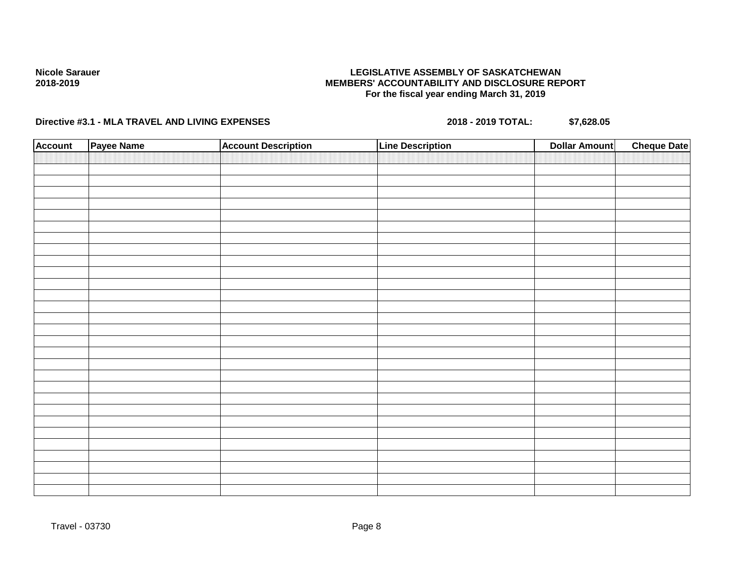## **LEGISLATIVE ASSEMBLY OF SASKATCHEWAN MEMBERS' ACCOUNTABILITY AND DISCLOSURE REPORT For the fiscal year ending March 31, 2019**

| <b>Account</b> | Payee Name | <b>Account Description</b> | <b>Line Description</b> | <b>Dollar Amount</b> | <b>Cheque Date</b> |
|----------------|------------|----------------------------|-------------------------|----------------------|--------------------|
|                |            |                            |                         |                      |                    |
|                |            |                            |                         |                      |                    |
|                |            |                            |                         |                      |                    |
|                |            |                            |                         |                      |                    |
|                |            |                            |                         |                      |                    |
|                |            |                            |                         |                      |                    |
|                |            |                            |                         |                      |                    |
|                |            |                            |                         |                      |                    |
|                |            |                            |                         |                      |                    |
|                |            |                            |                         |                      |                    |
|                |            |                            |                         |                      |                    |
|                |            |                            |                         |                      |                    |
|                |            |                            |                         |                      |                    |
|                |            |                            |                         |                      |                    |
|                |            |                            |                         |                      |                    |
|                |            |                            |                         |                      |                    |
|                |            |                            |                         |                      |                    |
|                |            |                            |                         |                      |                    |
|                |            |                            |                         |                      |                    |
|                |            |                            |                         |                      |                    |
|                |            |                            |                         |                      |                    |
|                |            |                            |                         |                      |                    |
|                |            |                            |                         |                      |                    |
|                |            |                            |                         |                      |                    |
|                |            |                            |                         |                      |                    |
|                |            |                            |                         |                      |                    |
|                |            |                            |                         |                      |                    |
|                |            |                            |                         |                      |                    |
|                |            |                            |                         |                      |                    |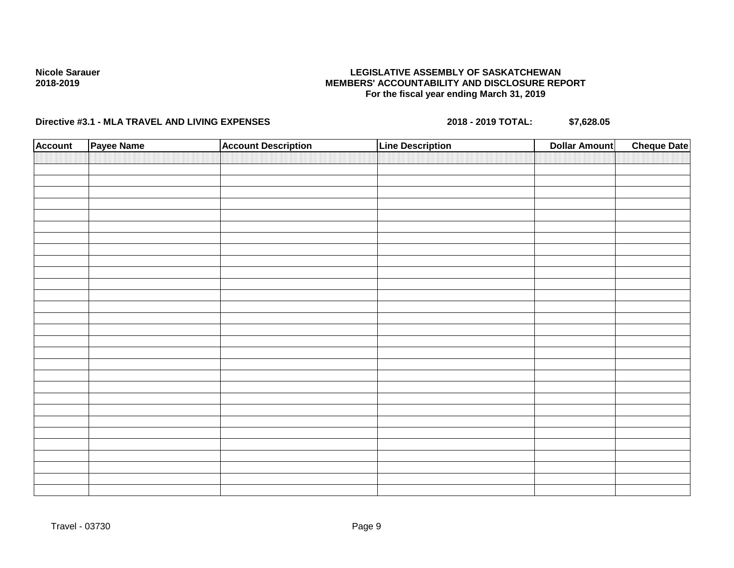## **LEGISLATIVE ASSEMBLY OF SASKATCHEWAN MEMBERS' ACCOUNTABILITY AND DISCLOSURE REPORT For the fiscal year ending March 31, 2019**

| <b>Account</b> | Payee Name | <b>Account Description</b> | <b>Line Description</b> | <b>Dollar Amount</b> | <b>Cheque Date</b> |
|----------------|------------|----------------------------|-------------------------|----------------------|--------------------|
|                |            |                            |                         |                      |                    |
|                |            |                            |                         |                      |                    |
|                |            |                            |                         |                      |                    |
|                |            |                            |                         |                      |                    |
|                |            |                            |                         |                      |                    |
|                |            |                            |                         |                      |                    |
|                |            |                            |                         |                      |                    |
|                |            |                            |                         |                      |                    |
|                |            |                            |                         |                      |                    |
|                |            |                            |                         |                      |                    |
|                |            |                            |                         |                      |                    |
|                |            |                            |                         |                      |                    |
|                |            |                            |                         |                      |                    |
|                |            |                            |                         |                      |                    |
|                |            |                            |                         |                      |                    |
|                |            |                            |                         |                      |                    |
|                |            |                            |                         |                      |                    |
|                |            |                            |                         |                      |                    |
|                |            |                            |                         |                      |                    |
|                |            |                            |                         |                      |                    |
|                |            |                            |                         |                      |                    |
|                |            |                            |                         |                      |                    |
|                |            |                            |                         |                      |                    |
|                |            |                            |                         |                      |                    |
|                |            |                            |                         |                      |                    |
|                |            |                            |                         |                      |                    |
|                |            |                            |                         |                      |                    |
|                |            |                            |                         |                      |                    |
|                |            |                            |                         |                      |                    |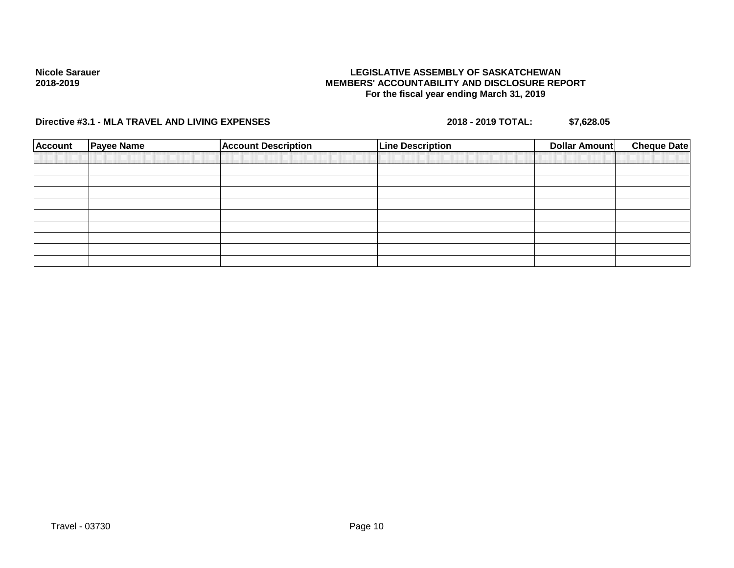## **LEGISLATIVE ASSEMBLY OF SASKATCHEWAN MEMBERS' ACCOUNTABILITY AND DISCLOSURE REPORT For the fiscal year ending March 31, 2019**

| <b>Account</b> | <b>Payee Name</b> | <b>Account Description</b> | <b>Line Description</b> | Dollar Amount | <b>Cheque Date</b> |
|----------------|-------------------|----------------------------|-------------------------|---------------|--------------------|
|                |                   |                            |                         |               |                    |
|                |                   |                            |                         |               |                    |
|                |                   |                            |                         |               |                    |
|                |                   |                            |                         |               |                    |
|                |                   |                            |                         |               |                    |
|                |                   |                            |                         |               |                    |
|                |                   |                            |                         |               |                    |
|                |                   |                            |                         |               |                    |
|                |                   |                            |                         |               |                    |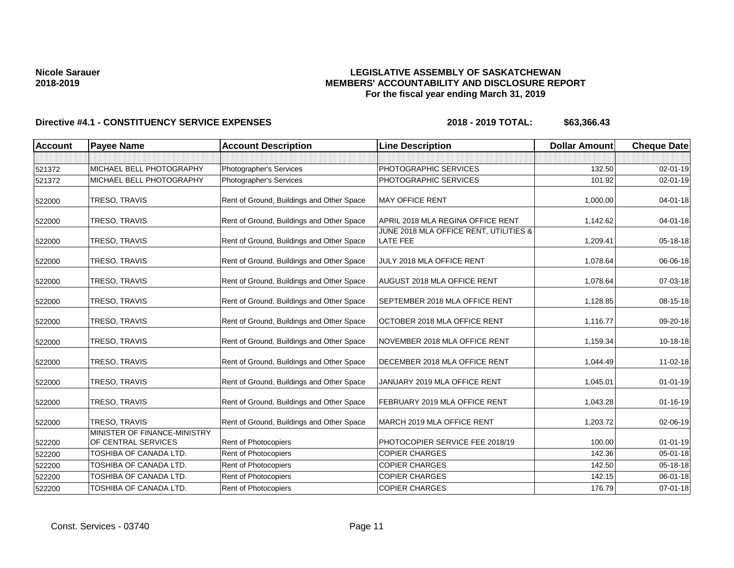## **LEGISLATIVE ASSEMBLY OF SASKATCHEWAN MEMBERS' ACCOUNTABILITY AND DISCLOSURE REPORT For the fiscal year ending March 31, 2019**

| <b>Account</b> | <b>Payee Name</b>                                   | <b>Account Description</b>                | <b>Line Description</b>                            | <b>Dollar Amount</b> | <b>Cheque Date</b> |
|----------------|-----------------------------------------------------|-------------------------------------------|----------------------------------------------------|----------------------|--------------------|
|                |                                                     |                                           |                                                    |                      |                    |
| 521372         | MICHAEL BELL PHOTOGRAPHY                            | Photographer's Services                   | PHOTOGRAPHIC SERVICES                              | 132.50               | $02 - 01 - 19$     |
| 521372         | MICHAEL BELL PHOTOGRAPHY                            | Photographer's Services                   | PHOTOGRAPHIC SERVICES                              | 101.92               | 02-01-19           |
| 522000         | TRESO, TRAVIS                                       | Rent of Ground, Buildings and Other Space | <b>MAY OFFICE RENT</b>                             | 1,000.00             | 04-01-18           |
| 522000         | TRESO, TRAVIS                                       | Rent of Ground, Buildings and Other Space | APRIL 2018 MLA REGINA OFFICE RENT                  | 1,142.62             | $04 - 01 - 18$     |
| 522000         | TRESO, TRAVIS                                       | Rent of Ground, Buildings and Other Space | JUNE 2018 MLA OFFICE RENT, UTILITIES &<br>LATE FEE | 1,209.41             | $05 - 18 - 18$     |
| 522000         | TRESO, TRAVIS                                       | Rent of Ground, Buildings and Other Space | JULY 2018 MLA OFFICE RENT                          | 1,078.64             | 06-06-18           |
| 522000         | TRESO, TRAVIS                                       | Rent of Ground, Buildings and Other Space | AUGUST 2018 MLA OFFICE RENT                        | 1,078.64             | 07-03-18           |
| 522000         | TRESO, TRAVIS                                       | Rent of Ground, Buildings and Other Space | SEPTEMBER 2018 MLA OFFICE RENT                     | 1,128.85             | 08-15-18           |
| 522000         | TRESO, TRAVIS                                       | Rent of Ground, Buildings and Other Space | OCTOBER 2018 MLA OFFICE RENT                       | 1,116.77             | 09-20-18           |
| 522000         | TRESO, TRAVIS                                       | Rent of Ground, Buildings and Other Space | NOVEMBER 2018 MLA OFFICE RENT                      | 1,159.34             | $10-18-18$         |
| 522000         | TRESO, TRAVIS                                       | Rent of Ground, Buildings and Other Space | DECEMBER 2018 MLA OFFICE RENT                      | 1,044.49             | 11-02-18           |
| 522000         | TRESO, TRAVIS                                       | Rent of Ground, Buildings and Other Space | JANUARY 2019 MLA OFFICE RENT                       | 1,045.01             | $01 - 01 - 19$     |
| 522000         | TRESO, TRAVIS                                       | Rent of Ground, Buildings and Other Space | FEBRUARY 2019 MLA OFFICE RENT                      | 1,043.28             | $01 - 16 - 19$     |
| 522000         | TRESO, TRAVIS                                       | Rent of Ground, Buildings and Other Space | MARCH 2019 MLA OFFICE RENT                         | 1,203.72             | 02-06-19           |
| 522200         | MINISTER OF FINANCE-MINISTRY<br>OF CENTRAL SERVICES | Rent of Photocopiers                      | PHOTOCOPIER SERVICE FEE 2018/19                    | 100.00               | $01-01-19$         |
| 522200         | TOSHIBA OF CANADA LTD.                              | Rent of Photocopiers                      | <b>COPIER CHARGES</b>                              | 142.36               | 05-01-18           |
| 522200         | <b>TOSHIBA OF CANADA LTD.</b>                       | Rent of Photocopiers                      | <b>COPIER CHARGES</b>                              | 142.50               | 05-18-18           |
| 522200         | TOSHIBA OF CANADA LTD.                              | Rent of Photocopiers                      | <b>COPIER CHARGES</b>                              | 142.15               | 06-01-18           |
| 522200         | TOSHIBA OF CANADA LTD.                              | Rent of Photocopiers                      | <b>COPIER CHARGES</b>                              | 176.79               | $07 - 01 - 18$     |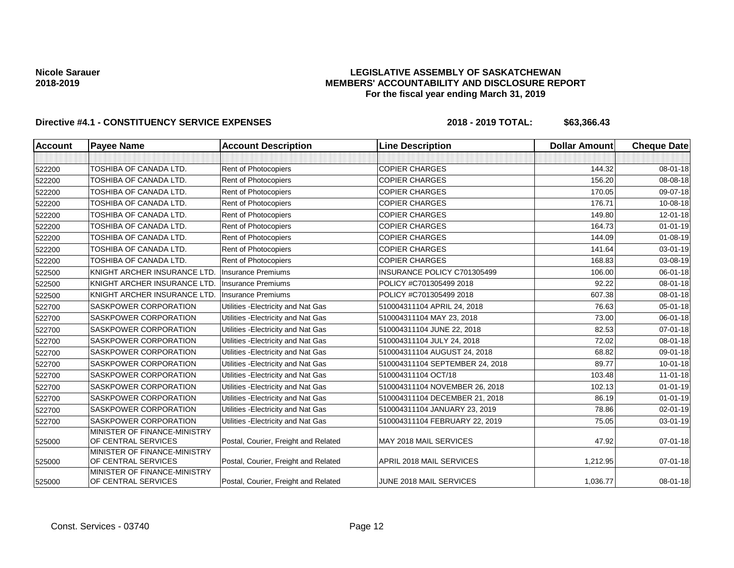### **LEGISLATIVE ASSEMBLY OF SASKATCHEWAN MEMBERS' ACCOUNTABILITY AND DISCLOSURE REPORT For the fiscal year ending March 31, 2019**

| <b>Account</b> | <b>Payee Name</b>                                   | <b>Account Description</b>           | <b>Line Description</b>         | <b>Dollar Amount</b> | <b>Cheque Date</b> |
|----------------|-----------------------------------------------------|--------------------------------------|---------------------------------|----------------------|--------------------|
|                |                                                     |                                      |                                 |                      |                    |
| 522200         | TOSHIBA OF CANADA LTD.                              | Rent of Photocopiers                 | <b>COPIER CHARGES</b>           | 144.32               | 08-01-18           |
| 522200         | <b>TOSHIBA OF CANADA LTD.</b>                       | Rent of Photocopiers                 | <b>COPIER CHARGES</b>           | 156.20               | 08-08-18           |
| 522200         | TOSHIBA OF CANADA LTD.                              | Rent of Photocopiers                 | <b>COPIER CHARGES</b>           | 170.05               | 09-07-18           |
| 522200         | TOSHIBA OF CANADA LTD.                              | Rent of Photocopiers                 | <b>COPIER CHARGES</b>           | 176.71               | 10-08-18           |
| 522200         | TOSHIBA OF CANADA LTD.                              | <b>Rent of Photocopiers</b>          | <b>COPIER CHARGES</b>           | 149.80               | 12-01-18           |
| 522200         | TOSHIBA OF CANADA LTD.                              | <b>Rent of Photocopiers</b>          | <b>COPIER CHARGES</b>           | 164.73               | $01 - 01 - 19$     |
| 522200         | TOSHIBA OF CANADA LTD.                              | Rent of Photocopiers                 | <b>COPIER CHARGES</b>           | 144.09               | 01-08-19           |
| 522200         | TOSHIBA OF CANADA LTD.                              | Rent of Photocopiers                 | <b>COPIER CHARGES</b>           | 141.64               | 03-01-19           |
| 522200         | TOSHIBA OF CANADA LTD.                              | Rent of Photocopiers                 | <b>COPIER CHARGES</b>           | 168.83               | 03-08-19           |
| 522500         | KNIGHT ARCHER INSURANCE LTD.                        | <b>Insurance Premiums</b>            | INSURANCE POLICY C701305499     | 106.00               | 06-01-18           |
| 522500         | KNIGHT ARCHER INSURANCE LTD.                        | <b>Insurance Premiums</b>            | POLICY #C701305499 2018         | 92.22                | 08-01-18           |
| 522500         | KNIGHT ARCHER INSURANCE LTD.                        | <b>Insurance Premiums</b>            | POLICY #C701305499 2018         | 607.38               | 08-01-18           |
| 522700         | <b>SASKPOWER CORPORATION</b>                        | Utilities - Electricity and Nat Gas  | 510004311104 APRIL 24, 2018     | 76.63                | 05-01-18           |
| 522700         | <b>SASKPOWER CORPORATION</b>                        | Utilities - Electricity and Nat Gas  | 510004311104 MAY 23, 2018       | 73.00                | 06-01-18           |
| 522700         | SASKPOWER CORPORATION                               | Utilities - Electricity and Nat Gas  | 510004311104 JUNE 22, 2018      | 82.53                | $07 - 01 - 18$     |
| 522700         | <b>SASKPOWER CORPORATION</b>                        | Utilities - Electricity and Nat Gas  | 510004311104 JULY 24, 2018      | 72.02                | 08-01-18           |
| 522700         | <b>SASKPOWER CORPORATION</b>                        | Utilities - Electricity and Nat Gas  | 510004311104 AUGUST 24, 2018    | 68.82                | 09-01-18           |
| 522700         | <b>SASKPOWER CORPORATION</b>                        | Utilities - Electricity and Nat Gas  | 510004311104 SEPTEMBER 24, 2018 | 89.77                | $10 - 01 - 18$     |
| 522700         | <b>SASKPOWER CORPORATION</b>                        | Utilities - Electricity and Nat Gas  | 510004311104 OCT/18             | 103.48               | $11-01-18$         |
| 522700         | SASKPOWER CORPORATION                               | Utilities - Electricity and Nat Gas  | 510004311104 NOVEMBER 26, 2018  | 102.13               | $01 - 01 - 19$     |
| 522700         | <b>SASKPOWER CORPORATION</b>                        | Utilities - Electricity and Nat Gas  | 510004311104 DECEMBER 21, 2018  | 86.19                | $01 - 01 - 19$     |
| 522700         | SASKPOWER CORPORATION                               | Utilities - Electricity and Nat Gas  | 510004311104 JANUARY 23, 2019   | 78.86                | $02 - 01 - 19$     |
| 522700         | <b>SASKPOWER CORPORATION</b>                        | Utilities - Electricity and Nat Gas  | 510004311104 FEBRUARY 22, 2019  | 75.05                | 03-01-19           |
| 525000         | MINISTER OF FINANCE-MINISTRY<br>OF CENTRAL SERVICES | Postal, Courier, Freight and Related | <b>MAY 2018 MAIL SERVICES</b>   | 47.92                | $07 - 01 - 18$     |
| 525000         | MINISTER OF FINANCE-MINISTRY<br>OF CENTRAL SERVICES | Postal, Courier, Freight and Related | APRIL 2018 MAIL SERVICES        | 1,212.95             | $07 - 01 - 18$     |
| 525000         | MINISTER OF FINANCE-MINISTRY<br>OF CENTRAL SERVICES | Postal, Courier, Freight and Related | JUNE 2018 MAIL SERVICES         | 1,036.77             | 08-01-18           |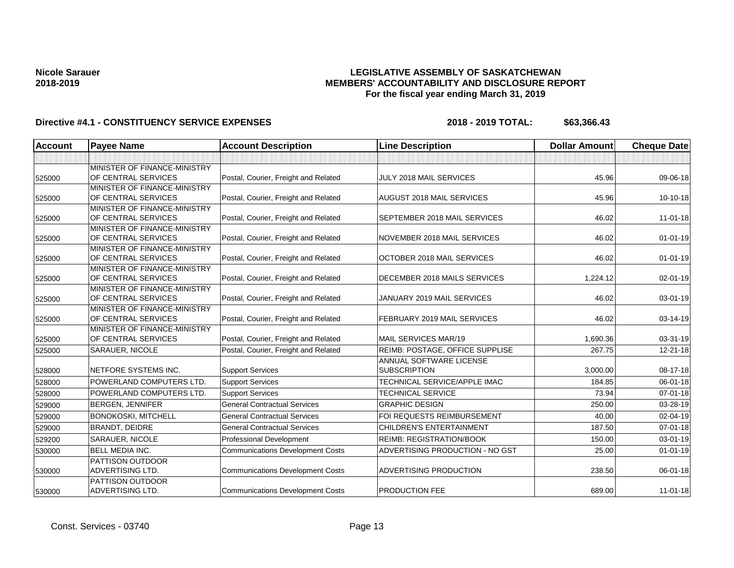## **LEGISLATIVE ASSEMBLY OF SASKATCHEWAN MEMBERS' ACCOUNTABILITY AND DISCLOSURE REPORT For the fiscal year ending March 31, 2019**

| <b>Account</b> | <b>Payee Name</b>                                   | <b>Account Description</b>              | <b>Line Description</b>                        | <b>Dollar Amount</b> | <b>Cheque Date</b> |
|----------------|-----------------------------------------------------|-----------------------------------------|------------------------------------------------|----------------------|--------------------|
|                |                                                     |                                         |                                                |                      |                    |
| 525000         | MINISTER OF FINANCE-MINISTRY<br>OF CENTRAL SERVICES | Postal, Courier, Freight and Related    | <b>JULY 2018 MAIL SERVICES</b>                 | 45.96                | 09-06-18           |
| 525000         | MINISTER OF FINANCE-MINISTRY<br>OF CENTRAL SERVICES | Postal, Courier, Freight and Related    | <b>AUGUST 2018 MAIL SERVICES</b>               | 45.96                | 10-10-18           |
| 525000         | MINISTER OF FINANCE-MINISTRY<br>OF CENTRAL SERVICES | Postal, Courier, Freight and Related    | SEPTEMBER 2018 MAIL SERVICES                   | 46.02                | $11 - 01 - 18$     |
| 525000         | MINISTER OF FINANCE-MINISTRY<br>OF CENTRAL SERVICES | Postal, Courier, Freight and Related    | NOVEMBER 2018 MAIL SERVICES                    | 46.02                | $01 - 01 - 19$     |
| 525000         | MINISTER OF FINANCE-MINISTRY<br>OF CENTRAL SERVICES | Postal, Courier, Freight and Related    | OCTOBER 2018 MAIL SERVICES                     | 46.02                | $01 - 01 - 19$     |
| 525000         | MINISTER OF FINANCE-MINISTRY<br>OF CENTRAL SERVICES | Postal, Courier, Freight and Related    | DECEMBER 2018 MAILS SERVICES                   | 1,224.12             | $02 - 01 - 19$     |
| 525000         | MINISTER OF FINANCE-MINISTRY<br>OF CENTRAL SERVICES | Postal, Courier, Freight and Related    | JANUARY 2019 MAIL SERVICES                     | 46.02                | $03 - 01 - 19$     |
| 525000         | MINISTER OF FINANCE-MINISTRY<br>OF CENTRAL SERVICES | Postal, Courier, Freight and Related    | FEBRUARY 2019 MAIL SERVICES                    | 46.02                | 03-14-19           |
| 525000         | MINISTER OF FINANCE-MINISTRY<br>OF CENTRAL SERVICES | Postal, Courier, Freight and Related    | MAIL SERVICES MAR/19                           | 1,690.36             | 03-31-19           |
| 525000         | <b>SARAUER, NICOLE</b>                              | Postal, Courier, Freight and Related    | REIMB: POSTAGE, OFFICE SUPPLISE                | 267.75               | 12-21-18           |
| 528000         | NETFORE SYSTEMS INC.                                | <b>Support Services</b>                 | ANNUAL SOFTWARE LICENSE<br><b>SUBSCRIPTION</b> | 3,000.00             | 08-17-18           |
| 528000         | POWERLAND COMPUTERS LTD.                            | <b>Support Services</b>                 | TECHNICAL SERVICE/APPLE IMAC                   | 184.85               | 06-01-18           |
| 528000         | POWERLAND COMPUTERS LTD.                            | <b>Support Services</b>                 | <b>TECHNICAL SERVICE</b>                       | 73.94                | $07 - 01 - 18$     |
| 529000         | <b>BERGEN, JENNIFER</b>                             | <b>General Contractual Services</b>     | <b>GRAPHIC DESIGN</b>                          | 250.00               | 03-28-19           |
| 529000         | <b>BONOKOSKI, MITCHELL</b>                          | <b>General Contractual Services</b>     | FOI REQUESTS REIMBURSEMENT                     | 40.00                | 02-04-19           |
| 529000         | <b>BRANDT, DEIDRE</b>                               | <b>General Contractual Services</b>     | <b>CHILDREN'S ENTERTAINMENT</b>                | 187.50               | 07-01-18           |
| 529200         | <b>SARAUER, NICOLE</b>                              | <b>Professional Development</b>         | <b>REIMB: REGISTRATION/BOOK</b>                | 150.00               | $03 - 01 - 19$     |
| 530000         | <b>BELL MEDIA INC.</b>                              | <b>Communications Development Costs</b> | ADVERTISING PRODUCTION - NO GST                | 25.00                | $01 - 01 - 19$     |
| 530000         | <b>PATTISON OUTDOOR</b><br><b>ADVERTISING LTD.</b>  | <b>Communications Development Costs</b> | ADVERTISING PRODUCTION                         | 238.50               | $06 - 01 - 18$     |
| 530000         | <b>PATTISON OUTDOOR</b><br><b>ADVERTISING LTD.</b>  | <b>Communications Development Costs</b> | <b>PRODUCTION FEE</b>                          | 689.00               | $11 - 01 - 18$     |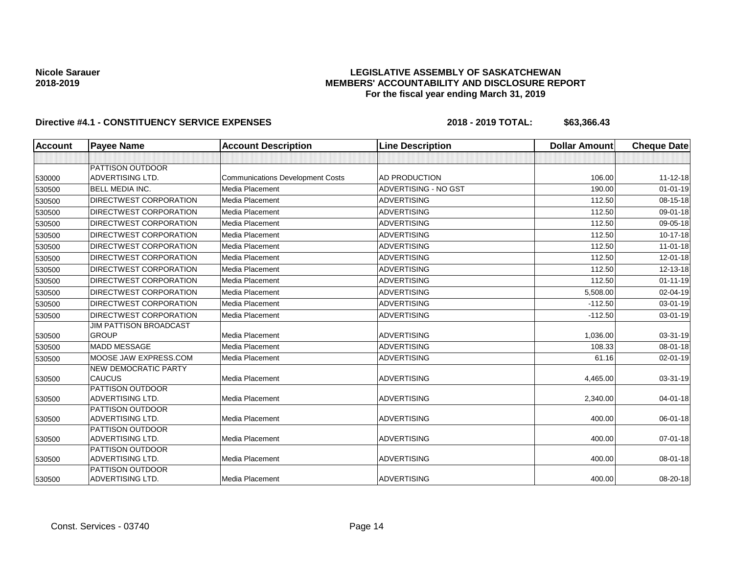## **LEGISLATIVE ASSEMBLY OF SASKATCHEWAN MEMBERS' ACCOUNTABILITY AND DISCLOSURE REPORT For the fiscal year ending March 31, 2019**

| <b>Account</b> | <b>Payee Name</b>                           | <b>Account Description</b>              | <b>Line Description</b>     | <b>Dollar Amount</b> | <b>Cheque Date</b> |
|----------------|---------------------------------------------|-----------------------------------------|-----------------------------|----------------------|--------------------|
|                |                                             |                                         |                             |                      |                    |
|                | <b>PATTISON OUTDOOR</b>                     |                                         |                             |                      |                    |
| 530000         | <b>ADVERTISING LTD.</b>                     | <b>Communications Development Costs</b> | AD PRODUCTION               | 106.00               | $11 - 12 - 18$     |
| 530500         | <b>BELL MEDIA INC.</b>                      | Media Placement                         | <b>ADVERTISING - NO GST</b> | 190.00               | $01 - 01 - 19$     |
| 530500         | <b>DIRECTWEST CORPORATION</b>               | Media Placement                         | <b>ADVERTISING</b>          | 112.50               | 08-15-18           |
| 530500         | <b>DIRECTWEST CORPORATION</b>               | Media Placement                         | <b>ADVERTISING</b>          | 112.50               | 09-01-18           |
| 530500         | <b>DIRECTWEST CORPORATION</b>               | Media Placement                         | <b>ADVERTISING</b>          | 112.50               | 09-05-18           |
| 530500         | DIRECTWEST CORPORATION                      | Media Placement                         | <b>ADVERTISING</b>          | 112.50               | 10-17-18           |
| 530500         | <b>DIRECTWEST CORPORATION</b>               | Media Placement                         | <b>ADVERTISING</b>          | 112.50               | $11-01-18$         |
| 530500         | DIRECTWEST CORPORATION                      | Media Placement                         | <b>ADVERTISING</b>          | 112.50               | 12-01-18           |
| 530500         | <b>DIRECTWEST CORPORATION</b>               | Media Placement                         | <b>ADVERTISING</b>          | 112.50               | 12-13-18           |
| 530500         | <b>DIRECTWEST CORPORATION</b>               | Media Placement                         | <b>ADVERTISING</b>          | 112.50               | $01 - 11 - 19$     |
| 530500         | <b>DIRECTWEST CORPORATION</b>               | Media Placement                         | <b>ADVERTISING</b>          | 5,508.00             | 02-04-19           |
| 530500         | DIRECTWEST CORPORATION                      | Media Placement                         | <b>ADVERTISING</b>          | $-112.50$            | 03-01-19           |
| 530500         | DIRECTWEST CORPORATION                      | Media Placement                         | <b>ADVERTISING</b>          | $-112.50$            | 03-01-19           |
|                | <b>JIM PATTISON BROADCAST</b>               |                                         |                             |                      |                    |
| 530500         | <b>GROUP</b>                                | Media Placement                         | <b>ADVERTISING</b>          | 1,036.00             | 03-31-19           |
| 530500         | <b>MADD MESSAGE</b>                         | Media Placement                         | <b>ADVERTISING</b>          | 108.33               | 08-01-18           |
| 530500         | MOOSE JAW EXPRESS.COM                       | Media Placement                         | <b>ADVERTISING</b>          | 61.16                | $02 - 01 - 19$     |
|                | <b>NEW DEMOCRATIC PARTY</b>                 |                                         |                             |                      |                    |
| 530500         | <b>CAUCUS</b>                               | Media Placement                         | <b>ADVERTISING</b>          | 4,465.00             | 03-31-19           |
|                | PATTISON OUTDOOR<br><b>ADVERTISING LTD.</b> | Media Placement                         | <b>ADVERTISING</b>          | 2,340.00             | 04-01-18           |
| 530500         | PATTISON OUTDOOR                            |                                         |                             |                      |                    |
| 530500         | <b>ADVERTISING LTD.</b>                     | Media Placement                         | <b>ADVERTISING</b>          | 400.00               | 06-01-18           |
|                | PATTISON OUTDOOR                            |                                         |                             |                      |                    |
| 530500         | <b>ADVERTISING LTD.</b>                     | Media Placement                         | <b>ADVERTISING</b>          | 400.00               | $07 - 01 - 18$     |
|                | PATTISON OUTDOOR                            |                                         |                             |                      |                    |
| 530500         | ADVERTISING LTD.                            | Media Placement                         | <b>ADVERTISING</b>          | 400.00               | 08-01-18           |
|                | PATTISON OUTDOOR                            |                                         |                             |                      |                    |
| 530500         | ADVERTISING LTD.                            | Media Placement                         | ADVERTISING                 | 400.00               | 08-20-18           |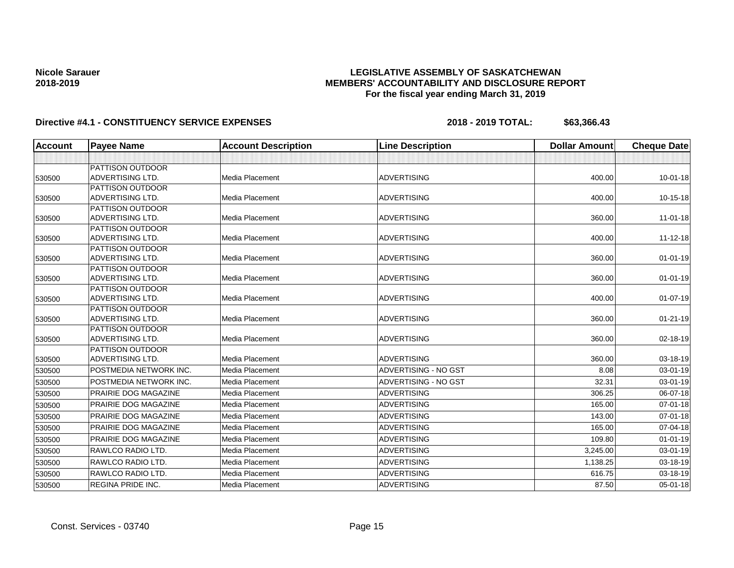## **LEGISLATIVE ASSEMBLY OF SASKATCHEWAN MEMBERS' ACCOUNTABILITY AND DISCLOSURE REPORT For the fiscal year ending March 31, 2019**

| Account | <b>Payee Name</b>                           | <b>Account Description</b> | <b>Line Description</b>     | <b>Dollar Amount</b> | <b>Cheque Date</b> |
|---------|---------------------------------------------|----------------------------|-----------------------------|----------------------|--------------------|
|         |                                             |                            |                             |                      |                    |
|         | PATTISON OUTDOOR                            |                            |                             |                      |                    |
| 530500  | ADVERTISING LTD.                            | Media Placement            | <b>ADVERTISING</b>          | 400.00               | $10 - 01 - 18$     |
|         | <b>PATTISON OUTDOOR</b>                     |                            |                             |                      |                    |
| 530500  | ADVERTISING LTD.                            | Media Placement            | <b>ADVERTISING</b>          | 400.00               | 10-15-18           |
|         | PATTISON OUTDOOR                            |                            |                             |                      |                    |
| 530500  | <b>ADVERTISING LTD.</b>                     | Media Placement            | <b>ADVERTISING</b>          | 360.00               | $11-01-18$         |
|         | <b>PATTISON OUTDOOR</b>                     |                            |                             |                      |                    |
| 530500  | <b>ADVERTISING LTD.</b>                     | Media Placement            | <b>ADVERTISING</b>          | 400.00               | $11 - 12 - 18$     |
|         | <b>PATTISON OUTDOOR</b>                     |                            |                             |                      |                    |
| 530500  | ADVERTISING LTD.                            | Media Placement            | <b>ADVERTISING</b>          | 360.00               | $01 - 01 - 19$     |
|         | <b>PATTISON OUTDOOR</b><br>ADVERTISING LTD. | Media Placement            | <b>ADVERTISING</b>          | 360.00               |                    |
| 530500  | PATTISON OUTDOOR                            |                            |                             |                      | $01 - 01 - 19$     |
| 530500  | ADVERTISING LTD.                            | Media Placement            | <b>ADVERTISING</b>          | 400.00               | $01-07-19$         |
|         | <b>PATTISON OUTDOOR</b>                     |                            |                             |                      |                    |
| 530500  | <b>ADVERTISING LTD.</b>                     | Media Placement            | <b>ADVERTISING</b>          | 360.00               | $01 - 21 - 19$     |
|         | PATTISON OUTDOOR                            |                            |                             |                      |                    |
| 530500  | ADVERTISING LTD.                            | Media Placement            | <b>ADVERTISING</b>          | 360.00               | 02-18-19           |
|         | PATTISON OUTDOOR                            |                            |                             |                      |                    |
| 530500  | <b>ADVERTISING LTD.</b>                     | Media Placement            | <b>ADVERTISING</b>          | 360.00               | 03-18-19           |
| 530500  | POSTMEDIA NETWORK INC.                      | Media Placement            | ADVERTISING - NO GST        | 8.08                 | 03-01-19           |
| 530500  | POSTMEDIA NETWORK INC.                      | Media Placement            | <b>ADVERTISING - NO GST</b> | 32.31                | 03-01-19           |
| 530500  | PRAIRIE DOG MAGAZINE                        | Media Placement            | <b>ADVERTISING</b>          | 306.25               | 06-07-18           |
| 530500  | <b>PRAIRIE DOG MAGAZINE</b>                 | Media Placement            | <b>ADVERTISING</b>          | 165.00               | $07 - 01 - 18$     |
| 530500  | PRAIRIE DOG MAGAZINE                        | Media Placement            | <b>ADVERTISING</b>          | 143.00               | $07 - 01 - 18$     |
| 530500  | PRAIRIE DOG MAGAZINE                        | Media Placement            | <b>ADVERTISING</b>          | 165.00               | 07-04-18           |
| 530500  | PRAIRIE DOG MAGAZINE                        | Media Placement            | <b>ADVERTISING</b>          | 109.80               | $01 - 01 - 19$     |
| 530500  | RAWLCO RADIO LTD.                           | Media Placement            | <b>ADVERTISING</b>          | 3,245.00             | 03-01-19           |
| 530500  | RAWLCO RADIO LTD.                           | Media Placement            | <b>ADVERTISING</b>          | 1,138.25             | 03-18-19           |
| 530500  | RAWLCO RADIO LTD.                           | Media Placement            | <b>ADVERTISING</b>          | 616.75               | 03-18-19           |
| 530500  | <b>REGINA PRIDE INC.</b>                    | Media Placement            | <b>ADVERTISING</b>          | 87.50                | $05 - 01 - 18$     |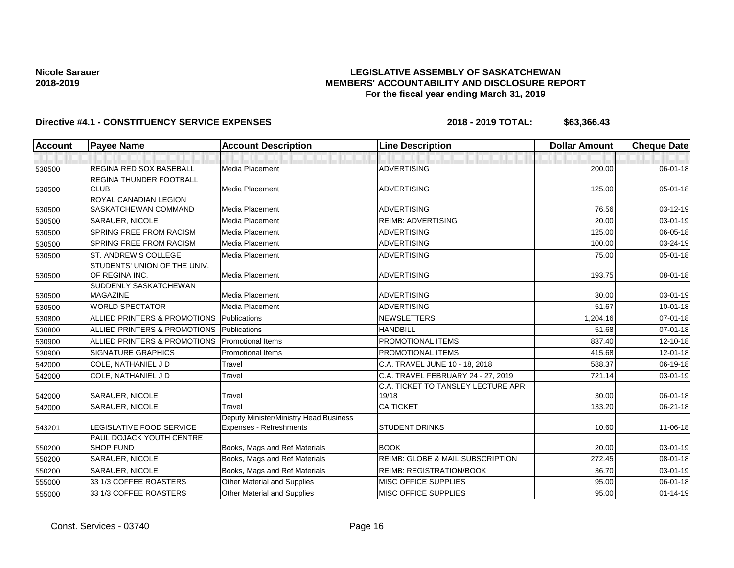## **LEGISLATIVE ASSEMBLY OF SASKATCHEWAN MEMBERS' ACCOUNTABILITY AND DISCLOSURE REPORT For the fiscal year ending March 31, 2019**

| <b>Account</b> | <b>Payee Name</b>                              | <b>Account Description</b>             | <b>Line Description</b>            | <b>Dollar Amount</b> | <b>Cheque Date</b> |
|----------------|------------------------------------------------|----------------------------------------|------------------------------------|----------------------|--------------------|
|                |                                                |                                        |                                    |                      |                    |
| 530500         | <b>REGINA RED SOX BASEBALL</b>                 | Media Placement                        | <b>ADVERTISING</b>                 | 200.00               | $06 - 01 - 18$     |
|                | <b>REGINA THUNDER FOOTBALL</b>                 |                                        |                                    |                      |                    |
| 530500         | <b>CLUB</b>                                    | Media Placement                        | <b>ADVERTISING</b>                 | 125.00               | $05 - 01 - 18$     |
|                | ROYAL CANADIAN LEGION                          |                                        |                                    |                      |                    |
| 530500         | SASKATCHEWAN COMMAND                           | Media Placement                        | <b>ADVERTISING</b>                 | 76.56                | 03-12-19           |
| 530500         | SARAUER, NICOLE                                | Media Placement                        | <b>REIMB: ADVERTISING</b>          | 20.00                | $03 - 01 - 19$     |
| 530500         | SPRING FREE FROM RACISM                        | Media Placement                        | <b>ADVERTISING</b>                 | 125.00               | 06-05-18           |
| 530500         | <b>SPRING FREE FROM RACISM</b>                 | Media Placement                        | <b>ADVERTISING</b>                 | 100.00               | 03-24-19           |
| 530500         | ST. ANDREW'S COLLEGE                           | Media Placement                        | <b>ADVERTISING</b>                 | 75.00                | $05 - 01 - 18$     |
| 530500         | STUDENTS' UNION OF THE UNIV.<br>OF REGINA INC. | Media Placement                        | <b>ADVERTISING</b>                 | 193.75               | 08-01-18           |
|                | SUDDENLY SASKATCHEWAN                          |                                        |                                    |                      |                    |
| 530500         | <b>MAGAZINE</b>                                | Media Placement                        | <b>ADVERTISING</b>                 | 30.00                | 03-01-19           |
| 530500         | <b>WORLD SPECTATOR</b>                         | Media Placement                        | <b>ADVERTISING</b>                 | 51.67                | $10 - 01 - 18$     |
| 530800         | ALLIED PRINTERS & PROMOTIONS                   | Publications                           | <b>NEWSLETTERS</b>                 | 1.204.16             | $07 - 01 - 18$     |
| 530800         | ALLIED PRINTERS & PROMOTIONS                   | Publications                           | <b>HANDBILL</b>                    | 51.68                | $07 - 01 - 18$     |
| 530900         | ALLIED PRINTERS & PROMOTIONS                   | <b>Promotional Items</b>               | PROMOTIONAL ITEMS                  | 837.40               | 12-10-18           |
| 530900         | <b>SIGNATURE GRAPHICS</b>                      | <b>Promotional Items</b>               | PROMOTIONAL ITEMS                  | 415.68               | 12-01-18           |
| 542000         | COLE, NATHANIEL J D                            | Travel                                 | C.A. TRAVEL JUNE 10 - 18, 2018     | 588.37               | 06-19-18           |
| 542000         | COLE, NATHANIEL J D                            | Travel                                 | C.A. TRAVEL FEBRUARY 24 - 27, 2019 | 721.14               | 03-01-19           |
|                |                                                |                                        | C.A. TICKET TO TANSLEY LECTURE APR |                      |                    |
| 542000         | SARAUER, NICOLE                                | Travel                                 | 19/18                              | 30.00                | 06-01-18           |
| 542000         | SARAUER, NICOLE                                | Travel                                 | <b>CA TICKET</b>                   | 133.20               | $06 - 21 - 18$     |
|                |                                                | Deputy Minister/Ministry Head Business |                                    |                      |                    |
| 543201         | <b>LEGISLATIVE FOOD SERVICE</b>                | Expenses - Refreshments                | <b>STUDENT DRINKS</b>              | 10.60                | 11-06-18           |
|                | PAUL DOJACK YOUTH CENTRE                       |                                        |                                    |                      |                    |
| 550200         | <b>SHOP FUND</b>                               | Books, Mags and Ref Materials          | <b>BOOK</b>                        | 20.00                | 03-01-19           |
| 550200         | <b>SARAUER, NICOLE</b>                         | Books, Mags and Ref Materials          | REIMB: GLOBE & MAIL SUBSCRIPTION   | 272.45               | 08-01-18           |
| 550200         | <b>SARAUER, NICOLE</b>                         | Books, Mags and Ref Materials          | <b>REIMB: REGISTRATION/BOOK</b>    | 36.70                | 03-01-19           |
| 555000         | 33 1/3 COFFEE ROASTERS                         | Other Material and Supplies            | MISC OFFICE SUPPLIES               | 95.00                | 06-01-18           |
| 555000         | 33 1/3 COFFEE ROASTERS                         | Other Material and Supplies            | MISC OFFICE SUPPLIES               | 95.00                | $01 - 14 - 19$     |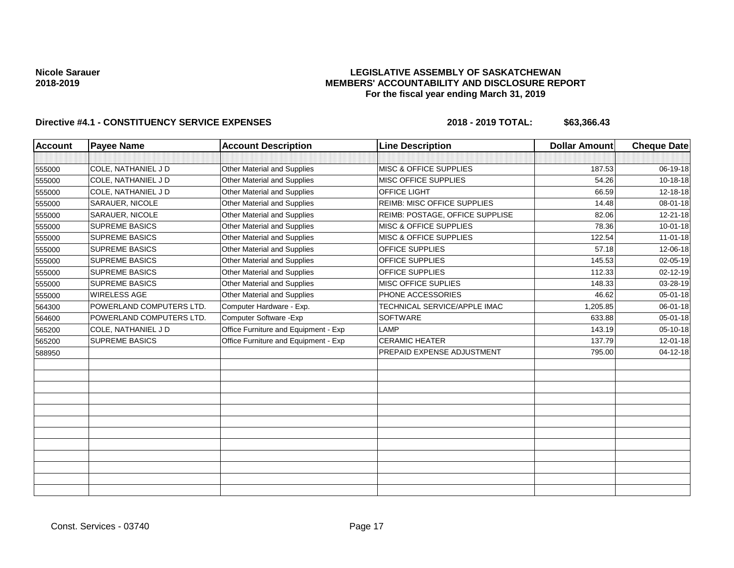## **LEGISLATIVE ASSEMBLY OF SASKATCHEWAN MEMBERS' ACCOUNTABILITY AND DISCLOSURE REPORT For the fiscal year ending March 31, 2019**

| <b>Account</b> | <b>Payee Name</b>        | <b>Account Description</b>           | <b>Line Description</b>           | <b>Dollar Amount</b> | <b>Cheque Date</b> |
|----------------|--------------------------|--------------------------------------|-----------------------------------|----------------------|--------------------|
|                |                          |                                      |                                   |                      |                    |
| 555000         | COLE, NATHANIEL J D      | Other Material and Supplies          | MISC & OFFICE SUPPLIES            | 187.53               | 06-19-18           |
| 555000         | COLE, NATHANIEL J D      | <b>Other Material and Supplies</b>   | <b>MISC OFFICE SUPPLIES</b>       | 54.26                | 10-18-18           |
| 555000         | COLE. NATHANIEL J D      | Other Material and Supplies          | OFFICE LIGHT                      | 66.59                | 12-18-18           |
| 555000         | SARAUER, NICOLE          | Other Material and Supplies          | REIMB: MISC OFFICE SUPPLIES       | 14.48                | 08-01-18           |
| 555000         | <b>SARAUER, NICOLE</b>   | Other Material and Supplies          | REIMB: POSTAGE, OFFICE SUPPLISE   | 82.06                | $12 - 21 - 18$     |
| 555000         | <b>SUPREME BASICS</b>    | Other Material and Supplies          | MISC & OFFICE SUPPLIES            | 78.36                | $10 - 01 - 18$     |
| 555000         | <b>SUPREME BASICS</b>    | <b>Other Material and Supplies</b>   | <b>MISC &amp; OFFICE SUPPLIES</b> | 122.54               | $11-01-18$         |
| 555000         | <b>SUPREME BASICS</b>    | Other Material and Supplies          | OFFICE SUPPLIES                   | 57.18                | 12-06-18           |
| 555000         | <b>SUPREME BASICS</b>    | Other Material and Supplies          | OFFICE SUPPLIES                   | 145.53               | 02-05-19           |
| 555000         | <b>SUPREME BASICS</b>    | Other Material and Supplies          | OFFICE SUPPLIES                   | 112.33               | $02 - 12 - 19$     |
| 555000         | <b>SUPREME BASICS</b>    | Other Material and Supplies          | MISC OFFICE SUPLIES               | 148.33               | 03-28-19           |
| 555000         | <b>WIRELESS AGE</b>      | Other Material and Supplies          | PHONE ACCESSORIES                 | 46.62                | 05-01-18           |
| 564300         | POWERLAND COMPUTERS LTD. | Computer Hardware - Exp.             | TECHNICAL SERVICE/APPLE IMAC      | 1.205.85             | 06-01-18           |
| 564600         | POWERLAND COMPUTERS LTD. | Computer Software - Exp              | <b>SOFTWARE</b>                   | 633.88               | 05-01-18           |
| 565200         | COLE, NATHANIEL J D      | Office Furniture and Equipment - Exp | LAMP                              | 143.19               | 05-10-18           |
| 565200         | <b>SUPREME BASICS</b>    | Office Furniture and Equipment - Exp | <b>CERAMIC HEATER</b>             | 137.79               | 12-01-18           |
| 588950         |                          |                                      | PREPAID EXPENSE ADJUSTMENT        | 795.00               | 04-12-18           |
|                |                          |                                      |                                   |                      |                    |
|                |                          |                                      |                                   |                      |                    |
|                |                          |                                      |                                   |                      |                    |
|                |                          |                                      |                                   |                      |                    |
|                |                          |                                      |                                   |                      |                    |
|                |                          |                                      |                                   |                      |                    |
|                |                          |                                      |                                   |                      |                    |
|                |                          |                                      |                                   |                      |                    |
|                |                          |                                      |                                   |                      |                    |
|                |                          |                                      |                                   |                      |                    |
|                |                          |                                      |                                   |                      |                    |
|                |                          |                                      |                                   |                      |                    |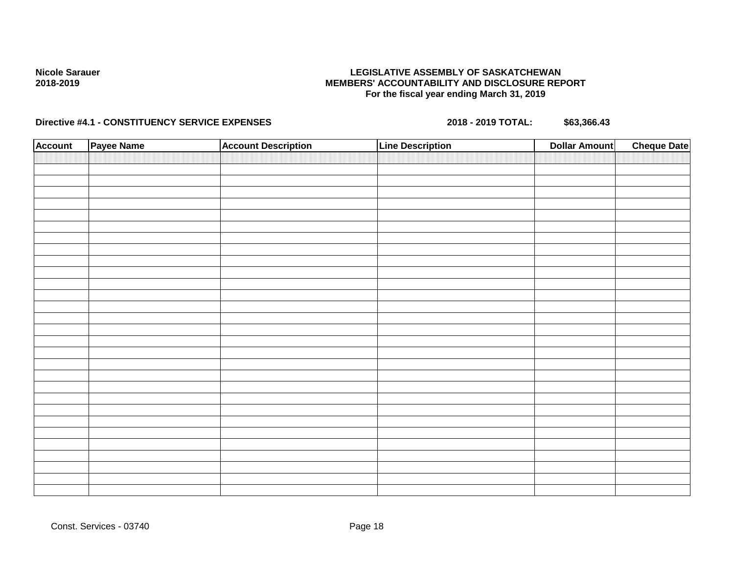## **LEGISLATIVE ASSEMBLY OF SASKATCHEWAN MEMBERS' ACCOUNTABILITY AND DISCLOSURE REPORT For the fiscal year ending March 31, 2019**

| <b>Account</b> | Payee Name | <b>Account Description</b> | Line Description | <b>Dollar Amount</b> | <b>Cheque Date</b> |
|----------------|------------|----------------------------|------------------|----------------------|--------------------|
|                |            |                            |                  |                      |                    |
|                |            |                            |                  |                      |                    |
|                |            |                            |                  |                      |                    |
|                |            |                            |                  |                      |                    |
|                |            |                            |                  |                      |                    |
|                |            |                            |                  |                      |                    |
|                |            |                            |                  |                      |                    |
|                |            |                            |                  |                      |                    |
|                |            |                            |                  |                      |                    |
|                |            |                            |                  |                      |                    |
|                |            |                            |                  |                      |                    |
|                |            |                            |                  |                      |                    |
|                |            |                            |                  |                      |                    |
|                |            |                            |                  |                      |                    |
|                |            |                            |                  |                      |                    |
|                |            |                            |                  |                      |                    |
|                |            |                            |                  |                      |                    |
|                |            |                            |                  |                      |                    |
|                |            |                            |                  |                      |                    |
|                |            |                            |                  |                      |                    |
|                |            |                            |                  |                      |                    |
|                |            |                            |                  |                      |                    |
|                |            |                            |                  |                      |                    |
|                |            |                            |                  |                      |                    |
|                |            |                            |                  |                      |                    |
|                |            |                            |                  |                      |                    |
|                |            |                            |                  |                      |                    |
|                |            |                            |                  |                      |                    |
|                |            |                            |                  |                      |                    |
|                |            |                            |                  |                      |                    |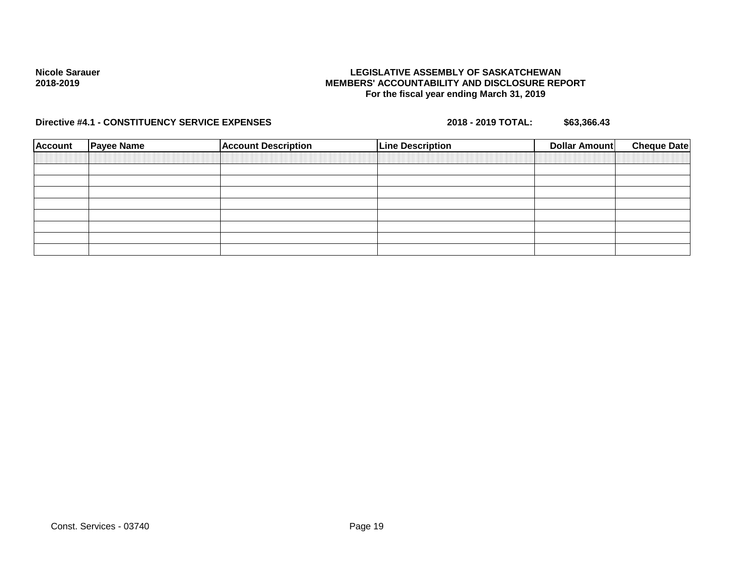## **LEGISLATIVE ASSEMBLY OF SASKATCHEWAN MEMBERS' ACCOUNTABILITY AND DISCLOSURE REPORT For the fiscal year ending March 31, 2019**

| <b>Account</b> | <b>Payee Name</b> | <b>Account Description</b> | <b>Line Description</b> | <b>Cheque Date</b><br>Dollar Amount |  |
|----------------|-------------------|----------------------------|-------------------------|-------------------------------------|--|
|                |                   |                            |                         |                                     |  |
|                |                   |                            |                         |                                     |  |
|                |                   |                            |                         |                                     |  |
|                |                   |                            |                         |                                     |  |
|                |                   |                            |                         |                                     |  |
|                |                   |                            |                         |                                     |  |
|                |                   |                            |                         |                                     |  |
|                |                   |                            |                         |                                     |  |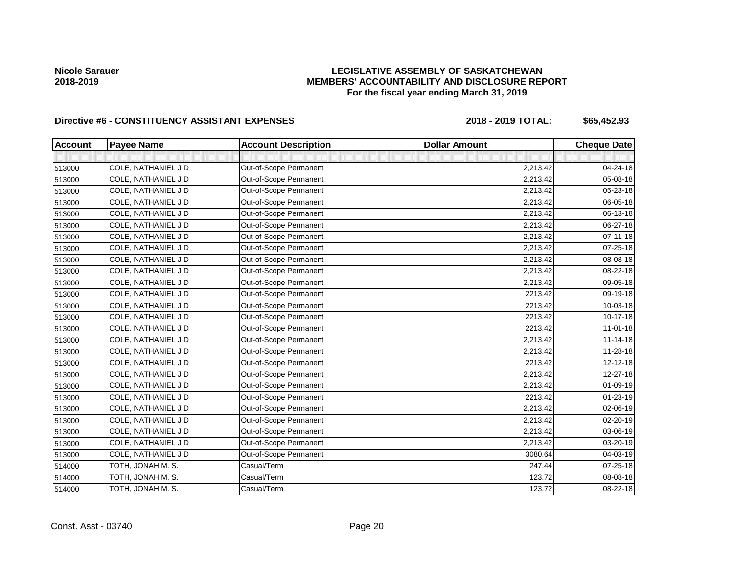# **LEGISLATIVE ASSEMBLY OF SASKATCHEWAN MEMBERS' ACCOUNTABILITY AND DISCLOSURE REPORT For the fiscal year ending March 31, 2019**

# Directive #6 - CONSTITUENCY ASSISTANT EXPENSES 2018 - 2018 - 2019 TOTAL: \$65,452.93

| <b>Account</b> | <b>Payee Name</b>   | <b>Account Description</b> | <b>Dollar Amount</b> | <b>Cheque Date</b> |
|----------------|---------------------|----------------------------|----------------------|--------------------|
|                |                     |                            |                      |                    |
| 513000         | COLE, NATHANIEL J D | Out-of-Scope Permanent     | 2,213.42             | 04-24-18           |
| 513000         | COLE, NATHANIEL J D | Out-of-Scope Permanent     | 2,213.42             | 05-08-18           |
| 513000         | COLE, NATHANIEL J D | Out-of-Scope Permanent     | 2,213.42             | 05-23-18           |
| 513000         | COLE, NATHANIEL J D | Out-of-Scope Permanent     | 2,213.42             | 06-05-18           |
| 513000         | COLE, NATHANIEL J D | Out-of-Scope Permanent     | 2,213.42             | 06-13-18           |
| 513000         | COLE, NATHANIEL J D | Out-of-Scope Permanent     | 2,213.42             | 06-27-18           |
| 513000         | COLE, NATHANIEL J D | Out-of-Scope Permanent     | 2,213.42             | $07 - 11 - 18$     |
| 513000         | COLE, NATHANIEL J D | Out-of-Scope Permanent     | 2,213.42             | 07-25-18           |
| 513000         | COLE, NATHANIEL J D | Out-of-Scope Permanent     | 2,213.42             | 08-08-18           |
| 513000         | COLE, NATHANIEL J D | Out-of-Scope Permanent     | 2,213.42             | 08-22-18           |
| 513000         | COLE, NATHANIEL J D | Out-of-Scope Permanent     | 2,213.42             | 09-05-18           |
| 513000         | COLE, NATHANIEL J D | Out-of-Scope Permanent     | 2213.42              | 09-19-18           |
| 513000         | COLE, NATHANIEL J D | Out-of-Scope Permanent     | 2213.42              | 10-03-18           |
| 513000         | COLE, NATHANIEL J D | Out-of-Scope Permanent     | 2213.42              | 10-17-18           |
| 513000         | COLE, NATHANIEL J D | Out-of-Scope Permanent     | 2213.42              | $11-01-18$         |
| 513000         | COLE, NATHANIEL J D | Out-of-Scope Permanent     | 2,213.42             | $11 - 14 - 18$     |
| 513000         | COLE, NATHANIEL J D | Out-of-Scope Permanent     | 2,213.42             | 11-28-18           |
| 513000         | COLE, NATHANIEL J D | Out-of-Scope Permanent     | 2213.42              | 12-12-18           |
| 513000         | COLE, NATHANIEL J D | Out-of-Scope Permanent     | 2,213.42             | 12-27-18           |
| 513000         | COLE, NATHANIEL J D | Out-of-Scope Permanent     | 2,213.42             | 01-09-19           |
| 513000         | COLE, NATHANIEL J D | Out-of-Scope Permanent     | 2213.42              | 01-23-19           |
| 513000         | COLE, NATHANIEL J D | Out-of-Scope Permanent     | 2,213.42             | 02-06-19           |
| 513000         | COLE, NATHANIEL J D | Out-of-Scope Permanent     | 2,213.42             | 02-20-19           |
| 513000         | COLE, NATHANIEL J D | Out-of-Scope Permanent     | 2,213.42             | 03-06-19           |
| 513000         | COLE, NATHANIEL J D | Out-of-Scope Permanent     | 2,213.42             | 03-20-19           |
| 513000         | COLE, NATHANIEL J D | Out-of-Scope Permanent     | 3080.64              | 04-03-19           |
| 514000         | TOTH, JONAH M. S.   | Casual/Term                | 247.44               | $07 - 25 - 18$     |
| 514000         | TOTH, JONAH M. S.   | Casual/Term                | 123.72               | 08-08-18           |
| 514000         | TOTH, JONAH M. S.   | Casual/Term                | 123.72               | 08-22-18           |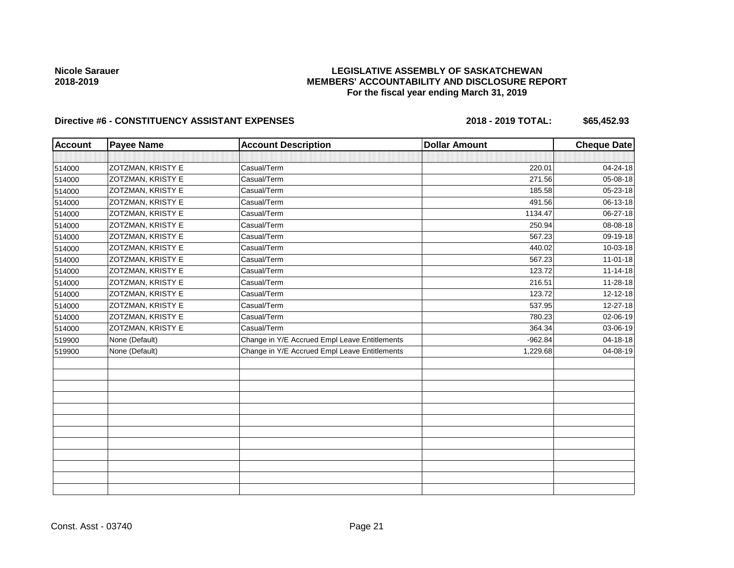# **LEGISLATIVE ASSEMBLY OF SASKATCHEWAN MEMBERS' ACCOUNTABILITY AND DISCLOSURE REPORT For the fiscal year ending March 31, 2019**

# Directive #6 - CONSTITUENCY ASSISTANT EXPENSES 2018 - 2018 - 2019 TOTAL: \$65,452.93

| <b>Account</b> | <b>Payee Name</b>        | <b>Account Description</b>                    | <b>Dollar Amount</b> | <b>Cheque Date</b> |
|----------------|--------------------------|-----------------------------------------------|----------------------|--------------------|
|                |                          |                                               |                      |                    |
| 514000         | ZOTZMAN, KRISTY E        | Casual/Term                                   | 220.01               | 04-24-18           |
| 514000         | ZOTZMAN, KRISTY E        | Casual/Term                                   | 271.56               | 05-08-18           |
| 514000         | ZOTZMAN, KRISTY E        | Casual/Term                                   | 185.58               | 05-23-18           |
| 514000         | ZOTZMAN, KRISTY E        | Casual/Term                                   | 491.56               | 06-13-18           |
| 514000         | <b>ZOTZMAN, KRISTY E</b> | Casual/Term                                   | 1134.47              | 06-27-18           |
| 514000         | <b>ZOTZMAN, KRISTY E</b> | Casual/Term                                   | 250.94               | 08-08-18           |
| 514000         | <b>ZOTZMAN, KRISTY E</b> | Casual/Term                                   | 567.23               | 09-19-18           |
| 514000         | <b>ZOTZMAN, KRISTY E</b> | Casual/Term                                   | 440.02               | 10-03-18           |
| 514000         | <b>ZOTZMAN, KRISTY E</b> | Casual/Term                                   | 567.23               | $11-01-18$         |
| 514000         | ZOTZMAN, KRISTY E        | Casual/Term                                   | 123.72               | 11-14-18           |
| 514000         | <b>ZOTZMAN, KRISTY E</b> | Casual/Term                                   | 216.51               | 11-28-18           |
| 514000         | ZOTZMAN, KRISTY E        | Casual/Term                                   | 123.72               | 12-12-18           |
| 514000         | <b>ZOTZMAN, KRISTY E</b> | Casual/Term                                   | 537.95               | 12-27-18           |
| 514000         | <b>ZOTZMAN, KRISTY E</b> | Casual/Term                                   | 780.23               | 02-06-19           |
| 514000         | ZOTZMAN, KRISTY E        | Casual/Term                                   | 364.34               | 03-06-19           |
| 519900         | None (Default)           | Change in Y/E Accrued Empl Leave Entitlements | $-962.84$            | 04-18-18           |
| 519900         | None (Default)           | Change in Y/E Accrued Empl Leave Entitlements | 1,229.68             | 04-08-19           |
|                |                          |                                               |                      |                    |
|                |                          |                                               |                      |                    |
|                |                          |                                               |                      |                    |
|                |                          |                                               |                      |                    |
|                |                          |                                               |                      |                    |
|                |                          |                                               |                      |                    |
|                |                          |                                               |                      |                    |

Const. Asst - 03740 Page 21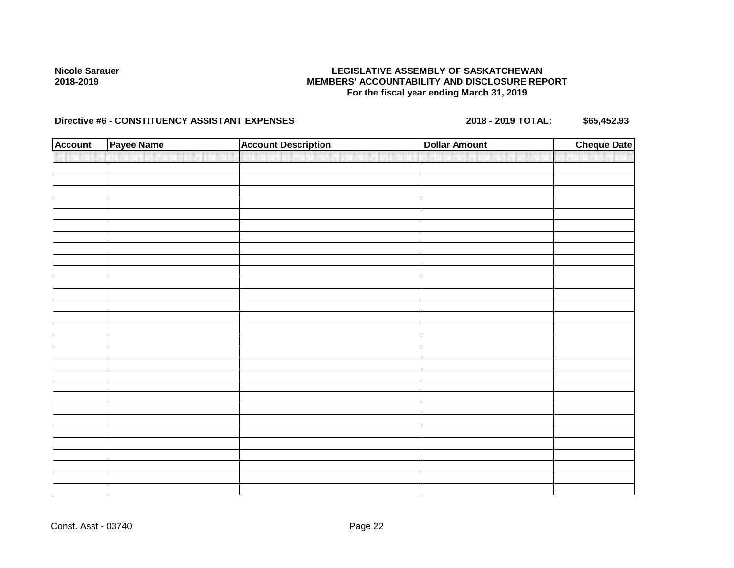# **LEGISLATIVE ASSEMBLY OF SASKATCHEWAN MEMBERS' ACCOUNTABILITY AND DISCLOSURE REPORT For the fiscal year ending March 31, 2019**

# Directive #6 - CONSTITUENCY ASSISTANT EXPENSES 2018 - 2018 - 2019 TOTAL: \$65,452.93

| <b>Account</b> | Payee Name | <b>Account Description</b> | <b>Dollar Amount</b> | <b>Cheque Date</b> |
|----------------|------------|----------------------------|----------------------|--------------------|
|                |            |                            |                      |                    |
|                |            |                            |                      |                    |
|                |            |                            |                      |                    |
|                |            |                            |                      |                    |
|                |            |                            |                      |                    |
|                |            |                            |                      |                    |
|                |            |                            |                      |                    |
|                |            |                            |                      |                    |
|                |            |                            |                      |                    |
|                |            |                            |                      |                    |
|                |            |                            |                      |                    |
|                |            |                            |                      |                    |
|                |            |                            |                      |                    |
|                |            |                            |                      |                    |
|                |            |                            |                      |                    |
|                |            |                            |                      |                    |
|                |            |                            |                      |                    |
|                |            |                            |                      |                    |
|                |            |                            |                      |                    |
|                |            |                            |                      |                    |
|                |            |                            |                      |                    |
|                |            |                            |                      |                    |
|                |            |                            |                      |                    |
|                |            |                            |                      |                    |
|                |            |                            |                      |                    |
|                |            |                            |                      |                    |
|                |            |                            |                      |                    |
|                |            |                            |                      |                    |
|                |            |                            |                      |                    |